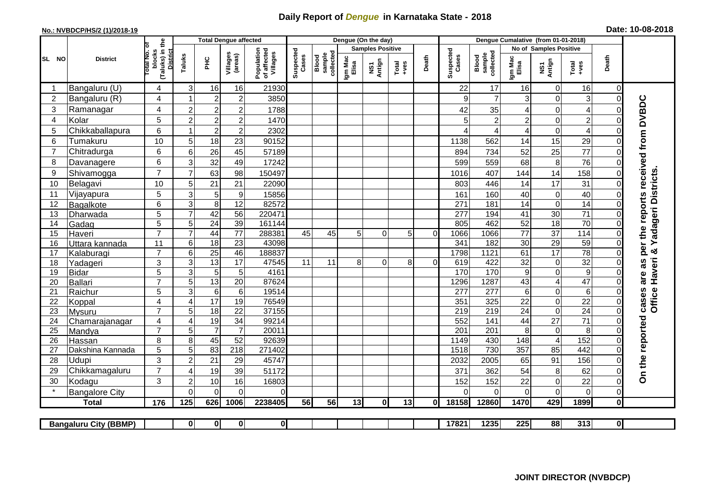## **Daily Report of** *Dengue* **in Karnataka State - 2018**

## **No.: NVBDCP/HS/2 (1)/2018-19 Date: 10-08-2018**

|                                                                                                                                  | <b>District</b>          |                                                              | <b>Total Dengue affected</b> |                            |                       |                                       |                    |                              |                         | Dengue (On the day) |                  |          |                         |                                     |                       |                         |                                   |                         |                                            |
|----------------------------------------------------------------------------------------------------------------------------------|--------------------------|--------------------------------------------------------------|------------------------------|----------------------------|-----------------------|---------------------------------------|--------------------|------------------------------|-------------------------|---------------------|------------------|----------|-------------------------|-------------------------------------|-----------------------|-------------------------|-----------------------------------|-------------------------|--------------------------------------------|
|                                                                                                                                  |                          |                                                              |                              |                            |                       |                                       |                    |                              | <b>Samples Positive</b> |                     |                  |          | No of Samples Positive  |                                     |                       |                         |                                   |                         |                                            |
| SL NO                                                                                                                            |                          | (Taluks) in the<br>Total No. Of<br>blocks<br><b>District</b> | Taluks                       | ΞÉ                         | Villages<br>(areas)   | Population<br>of affected<br>Villages | Suspected<br>Cases | sample<br>collected<br>Blood | Igm Mac<br>Elisa        | NS1<br>Antign       | $Tota$<br>$+ves$ | Death    | Suspected<br>Cases      | collected<br><b>Blood</b><br>sample | Igm Mac<br>Elisa      | NS1<br>Antign           | Total<br>+ves                     | Death                   |                                            |
|                                                                                                                                  | Bangaluru (U)            | 4                                                            | 3                            | 16                         | 16                    | 21930                                 |                    |                              |                         |                     |                  |          | 22                      | 17                                  | 16                    | $\mathbf 0$             | 16                                | $\mathbf 0$             |                                            |
| $\overline{2}$                                                                                                                   | Bangaluru (R)            | 4                                                            |                              | $\overline{c}$             | $\overline{c}$        | 3850                                  |                    |                              |                         |                     |                  |          | 9                       | $\overline{7}$                      | 3                     | 0                       | 3                                 | $\mathbf 0$             |                                            |
| 3                                                                                                                                | Ramanagar                | 4                                                            | $\overline{c}$               | $\overline{2}$             | $\overline{2}$        | 1788                                  |                    |                              |                         |                     |                  |          | 42                      | 35                                  | 4                     | $\overline{0}$          | $\overline{4}$                    | $\Omega$                | are as per the reports received from DVBDC |
| 4                                                                                                                                | Kolar                    | 5                                                            | $\overline{2}$               | $\overline{c}$             | 2                     | 1470                                  |                    |                              |                         |                     |                  |          | 5                       | $\overline{a}$                      | $\overline{c}$        | 0                       | $\overline{c}$                    | $\Omega$                |                                            |
| 5                                                                                                                                | Chikkaballapura          | 6                                                            |                              | $\overline{2}$             | $\overline{c}$        | 2302                                  |                    |                              |                         |                     |                  |          | 4                       | $\overline{4}$                      | 4                     | 0                       | $\overline{4}$                    | $\Omega$                |                                            |
| 6                                                                                                                                | Tumakuru                 | 10                                                           | 5                            | 18                         | 23                    | 90152                                 |                    |                              |                         |                     |                  |          | 1138                    | 562                                 | 14                    | 15                      | 29                                | $\mathbf 0$             |                                            |
| 7                                                                                                                                | Chitradurga              | 6                                                            | 6                            | 26                         | 45                    | 57189                                 |                    |                              |                         |                     |                  |          | 894                     | 734                                 | 52                    | 25                      | 77                                | $\Omega$                |                                            |
| 8                                                                                                                                | Davanagere               | 6                                                            | 3                            | 32                         | 49                    | 17242                                 |                    |                              |                         |                     |                  |          | 599                     | 559                                 | 68                    | 8                       | 76                                | $\mathbf 0$             |                                            |
| 9                                                                                                                                | Shivamogga               | $\overline{7}$                                               | 7                            | 63                         | 98                    | 150497                                |                    |                              |                         |                     |                  |          | 1016                    | 407                                 | 144                   | 14                      | 158                               | $\Omega$                |                                            |
| 10                                                                                                                               | Belagavi                 | 10                                                           | 5                            | 21                         | 21                    | 22090                                 |                    |                              |                         |                     |                  |          | 803                     | 446                                 | 14                    | 17                      | 31                                | $\mathbf 0$             | Yadageri Districts                         |
| 11                                                                                                                               | Vijayapura               | 5                                                            | 3                            | 5                          | $\boldsymbol{9}$      | 15856                                 |                    |                              |                         |                     |                  |          | 161                     | 160                                 | 40                    | 0                       | 40                                | $\mathbf 0$             |                                            |
| 12                                                                                                                               | Bagalkote                | 6                                                            | 3                            | 8                          | 12                    | 82572                                 |                    |                              |                         |                     |                  |          | 271                     | 181                                 | 14                    | 0                       | 14                                | $\Omega$                |                                            |
| 13                                                                                                                               | Dharwada                 | 5                                                            | $\overline{7}$               | 42                         | 56                    | 220471                                |                    |                              |                         |                     |                  |          | 277                     | 194                                 | 41                    | 30                      | $\overline{71}$                   | $\Omega$                |                                            |
| 14                                                                                                                               | Gadag                    | $\overline{5}$                                               | 5                            | 24                         | 39                    | 161144                                |                    |                              |                         |                     |                  |          | 805                     | 462                                 | 52                    | 18                      | 70                                | $\Omega$                |                                            |
| 15                                                                                                                               | Haveri                   | $\overline{7}$                                               | $\overline{7}$               | 44                         | $\overline{77}$       | 288381                                | 45                 | 45                           | 5                       | $\Omega$            | 5 <sup>1</sup>   | $\Omega$ | 1066                    | 1066                                | $\overline{77}$       | $\overline{37}$         | 114                               | $\mathbf 0$             |                                            |
| 16                                                                                                                               | Uttara kannada           | 11                                                           | 6                            | 18                         | $\overline{23}$       | 43098                                 |                    |                              |                         |                     |                  |          | 341                     | 182                                 | 30                    | 29                      | 59                                | $\Omega$                |                                            |
| 17                                                                                                                               | Kalaburagi               | $\overline{7}$                                               | 6                            | $\overline{25}$            | 46                    | 188837                                |                    |                              |                         |                     |                  |          | 1798                    | 1121                                | 61                    | 17                      | 78                                | $\Omega$                | ×                                          |
| 18                                                                                                                               | Yadageri                 | 3                                                            | 3                            | $\overline{13}$            | 17                    | 47545                                 | 11                 | 11                           | 8                       | $\Omega$            | 8                | $\Omega$ | 619                     | 422                                 | $\overline{32}$       | 0                       | 32                                | $\Omega$                | Haveri                                     |
| 19                                                                                                                               | <b>Bidar</b>             | 5                                                            | 3                            | 5                          | 5                     | 4161                                  |                    |                              |                         |                     |                  |          | 170                     | 170                                 | $\boldsymbol{9}$      | 0                       | $\overline{9}$                    | $\Omega$                |                                            |
| 20                                                                                                                               | Ballari                  | $\overline{7}$                                               | 5                            | 13                         | $\overline{20}$       | 87624                                 |                    |                              |                         |                     |                  |          | 1296                    | 1287                                | 43                    | $\overline{\mathbf{4}}$ | 47                                | $\mathbf 0$             |                                            |
| 21                                                                                                                               | Raichur                  | 5<br>4                                                       | 3<br>$\overline{4}$          | $\,6\,$<br>$\overline{17}$ | $6\phantom{1}6$<br>19 | 19514                                 |                    |                              |                         |                     |                  |          | $\overline{277}$<br>351 | $\overline{277}$<br>325             | 6                     | 0                       | $\overline{6}$<br>$\overline{22}$ | $\mathbf 0$<br>$\Omega$ |                                            |
| 22<br>23                                                                                                                         | Koppal                   | $\overline{7}$                                               | 5                            | $\overline{18}$            | $\overline{22}$       | 76549<br>37155                        |                    |                              |                         |                     |                  |          | 219                     | 219                                 | 22<br>$\overline{24}$ | 0<br>0                  | $\overline{24}$                   | $\Omega$                | Office<br>cases                            |
| 24                                                                                                                               | <b>Mysuru</b>            | 4                                                            | $\overline{4}$               | 19                         | $\overline{34}$       | 99214                                 |                    |                              |                         |                     |                  |          | 552                     | 141                                 | 44                    | $\overline{27}$         | $\overline{71}$                   | $\mathbf 0$             |                                            |
| 25                                                                                                                               | Chamarajanagar<br>Mandya | $\overline{7}$                                               | 5                            | $\overline{7}$             | $\overline{7}$        | 20011                                 |                    |                              |                         |                     |                  |          | 201                     | $\overline{201}$                    | 8                     | $\mathbf 0$             | 8                                 | $\Omega$                |                                            |
| 26                                                                                                                               | Hassan                   | 8                                                            | 8                            | 45                         | $\overline{52}$       | 92639                                 |                    |                              |                         |                     |                  |          | 1149                    | 430                                 | 148                   | $\overline{4}$          | 152                               | $\overline{0}$          |                                            |
| 27                                                                                                                               | Dakshina Kannada         | 5                                                            | 5                            | 83                         | 218                   | 271402                                |                    |                              |                         |                     |                  |          | 1518                    | 730                                 | 357                   | 85                      | 442                               | $\mathbf 0$             |                                            |
| 28                                                                                                                               | Udupi                    | 3                                                            | $\overline{2}$               | 21                         | 29                    | 45747                                 |                    |                              |                         |                     |                  |          | 2032                    | 2005                                | 65                    | 91                      | 156                               | $\Omega$                | On the reported                            |
| 29                                                                                                                               | Chikkamagaluru           | $\overline{7}$                                               | ⊿                            | 19                         | 39                    | 51172                                 |                    |                              |                         |                     |                  |          | 371                     | 362                                 | 54                    | 8                       | 62                                | 0                       |                                            |
| 30                                                                                                                               | Kodagu                   | 3                                                            | $\overline{2}$               | $10$                       | 16                    | 16803                                 |                    |                              |                         |                     |                  |          | 152                     | 152                                 | 22                    | 0                       | 22                                | $\mathbf 0$             |                                            |
|                                                                                                                                  | <b>Bangalore City</b>    |                                                              | $\Omega$                     | $\mathbf{0}$               | $\Omega$              | $\Omega$                              |                    |                              |                         |                     |                  |          | $\Omega$                | $\Omega$                            | $\mathbf 0$           | 0                       | $\mathbf 0$                       | $\mathbf 0$             |                                            |
|                                                                                                                                  | <b>Total</b>             | 176                                                          | 125                          | 626                        | 1006                  | 2238405                               | 56                 | 56                           | 13                      | $\mathbf{0}$        | 13               | ΟI       | 18158                   | 12860                               | 1470                  | 429                     | 1899                              | $\mathbf 0$             |                                            |
|                                                                                                                                  |                          |                                                              |                              |                            |                       |                                       |                    |                              |                         |                     |                  |          |                         |                                     |                       |                         |                                   |                         |                                            |
| 0 <br>17821<br>1235<br>225<br>88<br>313<br>$\overline{0}$<br>$\mathbf{0}$<br>$\mathbf{0}$<br> 0 <br><b>Bangaluru City (BBMP)</b> |                          |                                                              |                              |                            |                       |                                       |                    |                              |                         |                     |                  |          |                         |                                     |                       |                         |                                   |                         |                                            |